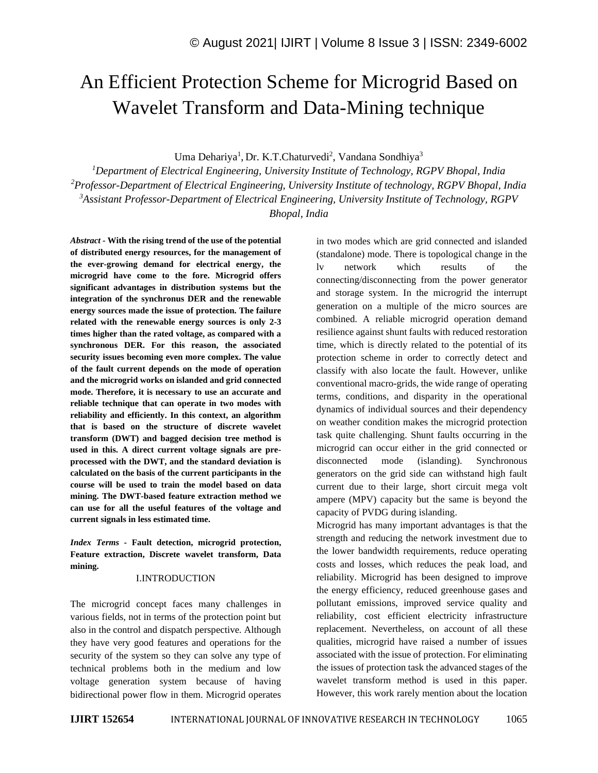# An Efficient Protection Scheme for Microgrid Based on Wavelet Transform and Data-Mining technique

Uma Dehariya<sup>1</sup>, Dr. K.T.Chaturvedi<sup>2</sup>, Vandana Sondhiya<sup>3</sup>

*Department of Electrical Engineering, University Institute of Technology, RGPV Bhopal, India Professor-Department of Electrical Engineering, University Institute of technology, RGPV Bhopal, India Assistant Professor-Department of Electrical Engineering, University Institute of Technology, RGPV Bhopal, India*

*Abstract -* **With the rising trend of the use of the potential of distributed energy resources, for the management of the ever-growing demand for electrical energy, the microgrid have come to the fore. Microgrid offers significant advantages in distribution systems but the integration of the synchronus DER and the renewable energy sources made the issue of protection. The failure related with the renewable energy sources is only 2-3 times higher than the rated voltage, as compared with a synchronous DER. For this reason, the associated security issues becoming even more complex. The value of the fault current depends on the mode of operation and the microgrid works on islanded and grid connected mode. Therefore, it is necessary to use an accurate and reliable technique that can operate in two modes with reliability and efficiently. In this context, an algorithm that is based on the structure of discrete wavelet transform (DWT) and bagged decision tree method is used in this. A direct current voltage signals are preprocessed with the DWT, and the standard deviation is calculated on the basis of the current participants in the course will be used to train the model based on data mining. The DWT-based feature extraction method we can use for all the useful features of the voltage and current signals in less estimated time.**

*Index Terms -* **Fault detection, microgrid protection, Feature extraction, Discrete wavelet transform, Data mining.**

### I.INTRODUCTION

The microgrid concept faces many challenges in various fields, not in terms of the protection point but also in the control and dispatch perspective. Although they have very good features and operations for the security of the system so they can solve any type of technical problems both in the medium and low voltage generation system because of having bidirectional power flow in them. Microgrid operates in two modes which are grid connected and islanded (standalone) mode. There is topological change in the lv network which results of the connecting/disconnecting from the power generator and storage system. In the microgrid the interrupt generation on a multiple of the micro sources are combined. A reliable microgrid operation demand resilience against shunt faults with reduced restoration time, which is directly related to the potential of its protection scheme in order to correctly detect and classify with also locate the fault. However, unlike conventional macro-grids, the wide range of operating terms, conditions, and disparity in the operational dynamics of individual sources and their dependency on weather condition makes the microgrid protection task quite challenging. Shunt faults occurring in the microgrid can occur either in the grid connected or disconnected mode (islanding). Synchronous generators on the grid side can withstand high fault current due to their large, short circuit mega volt ampere (MPV) capacity but the same is beyond the capacity of PVDG during islanding.

Microgrid has many important advantages is that the strength and reducing the network investment due to the lower bandwidth requirements, reduce operating costs and losses, which reduces the peak load, and reliability. Microgrid has been designed to improve the energy efficiency, reduced greenhouse gases and pollutant emissions, improved service quality and reliability, cost efficient electricity infrastructure replacement. Nevertheless, on account of all these qualities, microgrid have raised a number of issues associated with the issue of protection. For eliminating the issues of protection task the advanced stages of the wavelet transform method is used in this paper. However, this work rarely mention about the location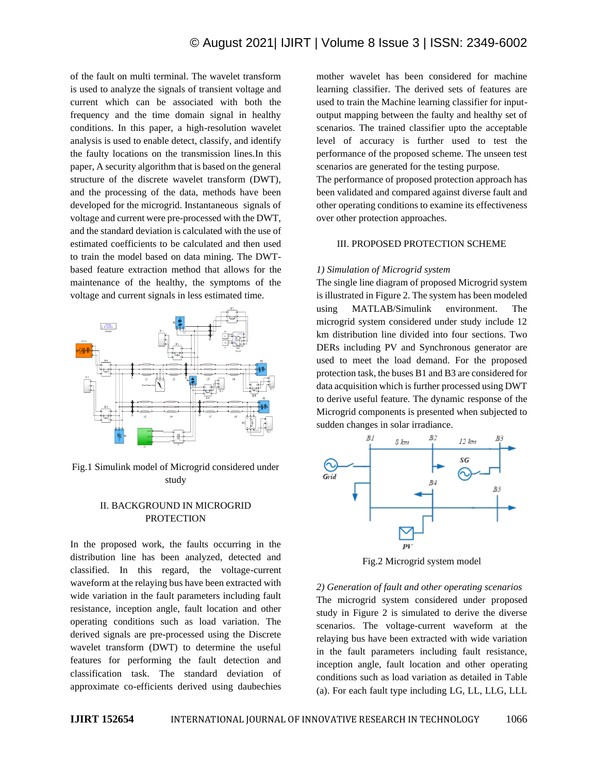of the fault on multi terminal. The wavelet transform is used to analyze the signals of transient voltage and current which can be associated with both the frequency and the time domain signal in healthy conditions. In this paper, a high-resolution wavelet analysis is used to enable detect, classify, and identify the faulty locations on the transmission lines.In this paper, A security algorithm that is based on the general structure of the discrete wavelet transform (DWT), and the processing of the data, methods have been developed for the microgrid. Instantaneous signals of voltage and current were pre-processed with the DWT, and the standard deviation is calculated with the use of estimated coefficients to be calculated and then used to train the model based on data mining. The DWTbased feature extraction method that allows for the maintenance of the healthy, the symptoms of the voltage and current signals in less estimated time.



Fig.1 Simulink model of Microgrid considered under study

## II. BACKGROUND IN MICROGRID **PROTECTION**

In the proposed work, the faults occurring in the distribution line has been analyzed, detected and classified. In this regard, the voltage-current waveform at the relaying bus have been extracted with wide variation in the fault parameters including fault resistance, inception angle, fault location and other operating conditions such as load variation. The derived signals are pre-processed using the Discrete wavelet transform (DWT) to determine the useful features for performing the fault detection and classification task. The standard deviation of approximate co-efficients derived using daubechies mother wavelet has been considered for machine learning classifier. The derived sets of features are used to train the Machine learning classifier for inputoutput mapping between the faulty and healthy set of scenarios. The trained classifier upto the acceptable level of accuracy is further used to test the performance of the proposed scheme. The unseen test scenarios are generated for the testing purpose.

The performance of proposed protection approach has been validated and compared against diverse fault and other operating conditions to examine its effectiveness over other protection approaches.

## III. PROPOSED PROTECTION SCHEME

#### *1) Simulation of Microgrid system*

The single line diagram of proposed Microgrid system is illustrated in Figure 2. The system has been modeled using MATLAB/Simulink environment. The microgrid system considered under study include 12 km distribution line divided into four sections. Two DERs including PV and Synchronous generator are used to meet the load demand. For the proposed protection task, the buses B1 and B3 are considered for data acquisition which is further processed using DWT to derive useful feature. The dynamic response of the Microgrid components is presented when subjected to sudden changes in solar irradiance.



Fig.2 Microgrid system model

*2) Generation of fault and other operating scenarios* The microgrid system considered under proposed study in Figure 2 is simulated to derive the diverse scenarios. The voltage-current waveform at the relaying bus have been extracted with wide variation in the fault parameters including fault resistance, inception angle, fault location and other operating conditions such as load variation as detailed in Table (a). For each fault type including LG, LL, LLG, LLL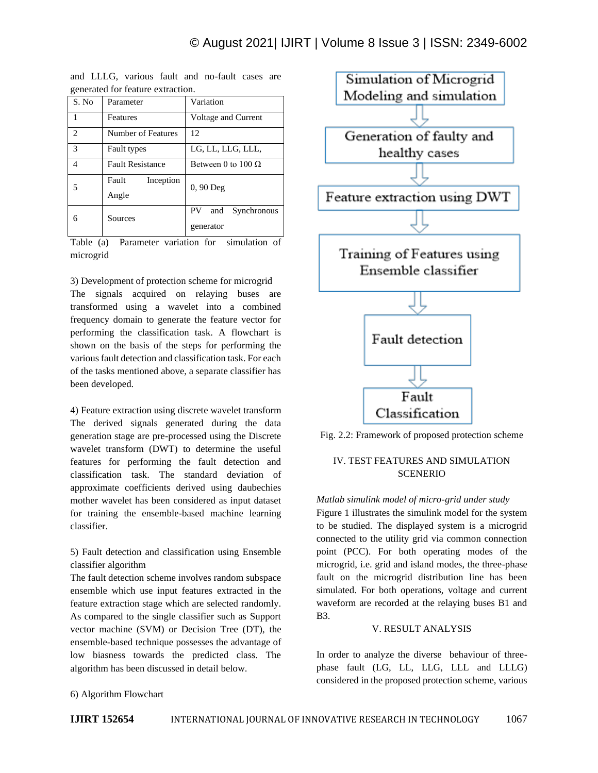| generated for reature extraction. |                             |                                       |  |  |
|-----------------------------------|-----------------------------|---------------------------------------|--|--|
| S. No                             | Parameter                   | Variation                             |  |  |
|                                   | Features                    | Voltage and Current                   |  |  |
| $\mathfrak{D}$                    | Number of Features          | 12                                    |  |  |
| $\mathcal{R}$                     | Fault types                 | LG, LL, LLG, LLL,                     |  |  |
| 4                                 | <b>Fault Resistance</b>     | Between 0 to $100 \Omega$             |  |  |
|                                   | Fault<br>Inception<br>Angle | $0, 90$ Deg                           |  |  |
| 6                                 | Sources                     | PV<br>Synchronous<br>and<br>generator |  |  |

and LLLG, various fault and no-fault cases are generated for feature extraction.

Table (a) Parameter variation for simulation of microgrid

3) Development of protection scheme for microgrid

The signals acquired on relaying buses are transformed using a wavelet into a combined frequency domain to generate the feature vector for performing the classification task. A flowchart is shown on the basis of the steps for performing the various fault detection and classification task. For each of the tasks mentioned above, a separate classifier has been developed.

4) Feature extraction using discrete wavelet transform The derived signals generated during the data generation stage are pre-processed using the Discrete wavelet transform (DWT) to determine the useful features for performing the fault detection and classification task. The standard deviation of approximate coefficients derived using daubechies mother wavelet has been considered as input dataset for training the ensemble-based machine learning classifier.

5) Fault detection and classification using Ensemble classifier algorithm

The fault detection scheme involves random subspace ensemble which use input features extracted in the feature extraction stage which are selected randomly. As compared to the single classifier such as Support vector machine (SVM) or Decision Tree (DT), the ensemble-based technique possesses the advantage of low biasness towards the predicted class. The algorithm has been discussed in detail below.



Fig. 2.2: Framework of proposed protection scheme

# IV. TEST FEATURES AND SIMULATION SCENERIO

## *Matlab simulink model of micro-grid under study*

Figure 1 illustrates the simulink model for the system to be studied. The displayed system is a microgrid connected to the utility grid via common connection point (PCC). For both operating modes of the microgrid, i.e. grid and island modes, the three-phase fault on the microgrid distribution line has been simulated. For both operations, voltage and current waveform are recorded at the relaying buses B1 and B3.

## V. RESULT ANALYSIS

In order to analyze the diverse behaviour of threephase fault (LG, LL, LLG, LLL and LLLG) considered in the proposed protection scheme, various

6) Algorithm Flowchart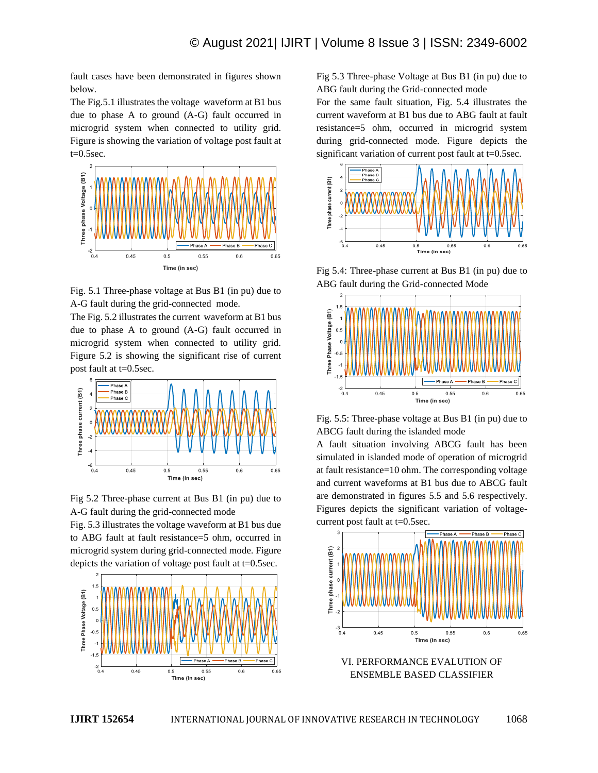fault cases have been demonstrated in figures shown below.

The Fig.5.1 illustrates the voltage waveform at B1 bus due to phase A to ground (A-G) fault occurred in microgrid system when connected to utility grid. Figure is showing the variation of voltage post fault at  $t=0.5$ sec.



Fig. 5.1 Three-phase voltage at Bus B1 (in pu) due to A-G fault during the grid-connected mode.

The Fig. 5.2 illustrates the current waveform at B1 bus due to phase A to ground (A-G) fault occurred in microgrid system when connected to utility grid. Figure 5.2 is showing the significant rise of current post fault at t=0.5sec.



Fig 5.2 Three-phase current at Bus B1 (in pu) due to A-G fault during the grid-connected mode

Fig. 5.3 illustrates the voltage waveform at B1 bus due to ABG fault at fault resistance=5 ohm, occurred in microgrid system during grid-connected mode. Figure depicts the variation of voltage post fault at t=0.5sec.



Fig 5.3 Three-phase Voltage at Bus B1 (in pu) due to ABG fault during the Grid-connected mode

For the same fault situation, Fig. 5.4 illustrates the current waveform at B1 bus due to ABG fault at fault resistance=5 ohm, occurred in microgrid system during grid-connected mode. Figure depicts the significant variation of current post fault at t=0.5sec.



Fig 5.4: Three-phase current at Bus B1 (in pu) due to ABG fault during the Grid-connected Mode



Fig. 5.5: Three-phase voltage at Bus B1 (in pu) due to ABCG fault during the islanded mode

A fault situation involving ABCG fault has been simulated in islanded mode of operation of microgrid at fault resistance=10 ohm. The corresponding voltage and current waveforms at B1 bus due to ABCG fault are demonstrated in figures 5.5 and 5.6 respectively. Figures depicts the significant variation of voltagecurrent post fault at t=0.5sec.



VI. PERFORMANCE EVALUTION OF ENSEMBLE BASED CLASSIFIER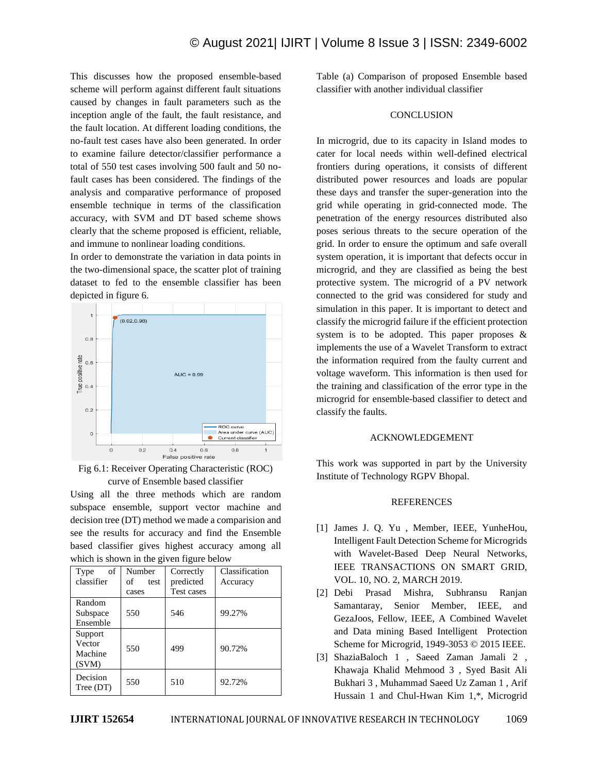This discusses how the proposed ensemble-based scheme will perform against different fault situations caused by changes in fault parameters such as the inception angle of the fault, the fault resistance, and the fault location. At different loading conditions, the no-fault test cases have also been generated. In order to examine failure detector/classifier performance a total of 550 test cases involving 500 fault and 50 nofault cases has been considered. The findings of the analysis and comparative performance of proposed ensemble technique in terms of the classification accuracy, with SVM and DT based scheme shows clearly that the scheme proposed is efficient, reliable, and immune to nonlinear loading conditions.

In order to demonstrate the variation in data points in the two-dimensional space, the scatter plot of training dataset to fed to the ensemble classifier has been depicted in figure 6.





Using all the three methods which are random subspace ensemble, support vector machine and decision tree (DT) method we made a comparision and see the results for accuracy and find the Ensemble based classifier gives highest accuracy among all which is shown in the given figure below

| of<br>Type<br>classifier              | Number<br>of<br>test<br>cases | Correctly<br>predicted<br>Test cases | Classification<br>Accuracy |
|---------------------------------------|-------------------------------|--------------------------------------|----------------------------|
| Random<br>Subspace<br>Ensemble        | 550                           | 546                                  | 99.27%                     |
| Support<br>Vector<br>Machine<br>(SVM) | 550                           | 499                                  | 90.72%                     |
| Decision<br>Tree (DT)                 | 550                           | 510                                  | 92.72%                     |

Table (a) Comparison of proposed Ensemble based classifier with another individual classifier

#### **CONCLUSION**

In microgrid, due to its capacity in Island modes to cater for local needs within well-defined electrical frontiers during operations, it consists of different distributed power resources and loads are popular these days and transfer the super-generation into the grid while operating in grid-connected mode. The penetration of the energy resources distributed also poses serious threats to the secure operation of the grid. In order to ensure the optimum and safe overall system operation, it is important that defects occur in microgrid, and they are classified as being the best protective system. The microgrid of a PV network connected to the grid was considered for study and simulation in this paper. It is important to detect and classify the microgrid failure if the efficient protection system is to be adopted. This paper proposes & implements the use of a Wavelet Transform to extract the information required from the faulty current and voltage waveform. This information is then used for the training and classification of the error type in the microgrid for ensemble-based classifier to detect and classify the faults.

#### ACKNOWLEDGEMENT

This work was supported in part by the University Institute of Technology RGPV Bhopal.

#### **REFERENCES**

- [1] James J. Q. Yu , Member, IEEE, YunheHou, Intelligent Fault Detection Scheme for Microgrids with Wavelet-Based Deep Neural Networks, IEEE TRANSACTIONS ON SMART GRID, VOL. 10, NO. 2, MARCH 2019.
- [2] Debi Prasad Mishra, Subhransu Ranjan Samantaray, Senior Member, IEEE, and GezaJoos, Fellow, IEEE, A Combined Wavelet and Data mining Based Intelligent Protection Scheme for Microgrid, 1949-3053 © 2015 IEEE.
- [3] ShaziaBaloch 1 , Saeed Zaman Jamali 2 , Khawaja Khalid Mehmood 3 , Syed Basit Ali Bukhari 3 , Muhammad Saeed Uz Zaman 1 , Arif Hussain 1 and Chul-Hwan Kim 1,\*, Microgrid